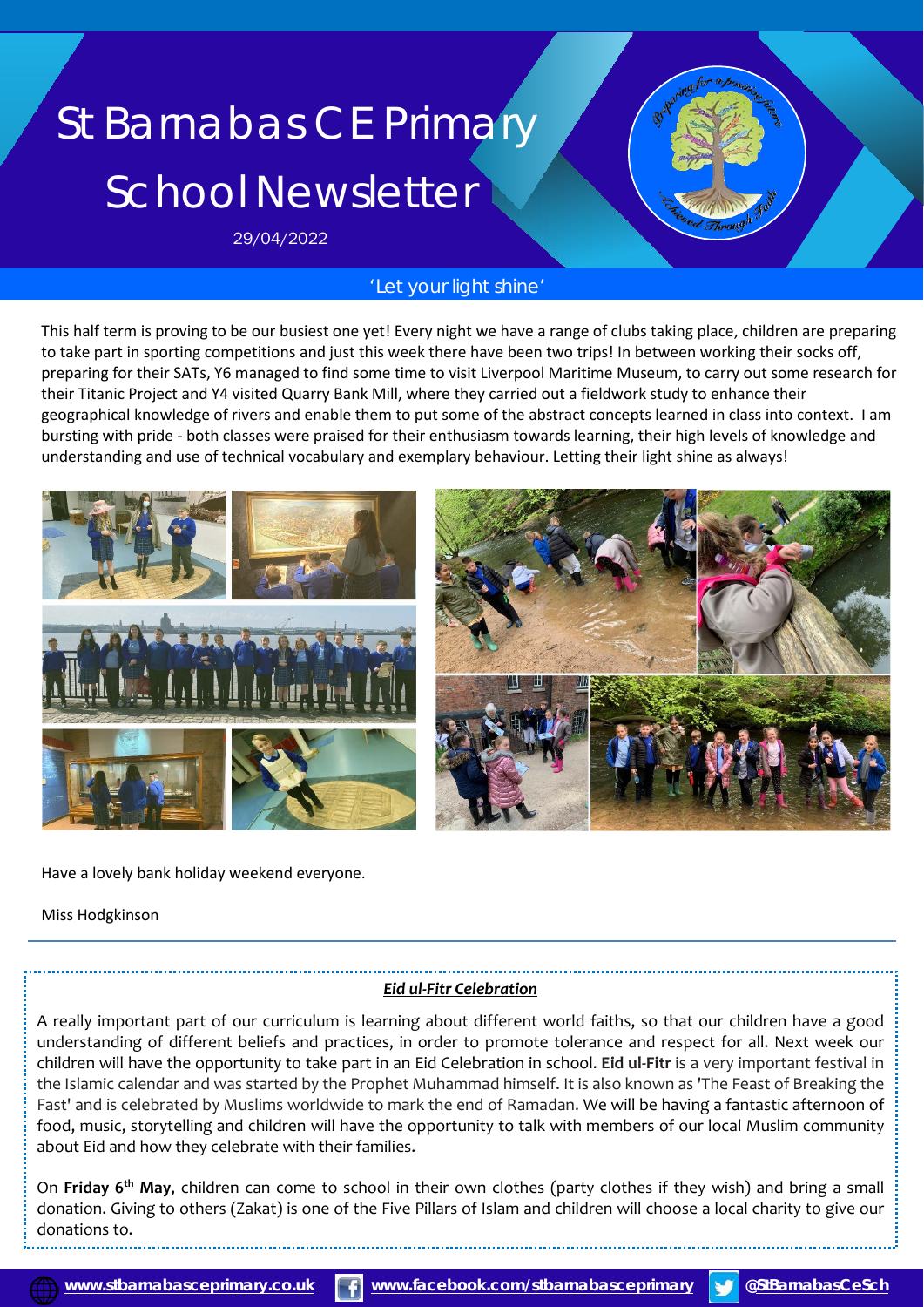# St Barnabas CE Primary School Newsletter

29/04/2022

# *'Let your light shine'*

This half term is proving to be our busiest one yet! Every night we have a range of clubs taking place, children are preparing to take part in sporting competitions and just this week there have been two trips! In between working their socks off, preparing for their SATs, Y6 managed to find some time to visit Liverpool Maritime Museum, to carry out some research for their Titanic Project and Y4 visited Quarry Bank Mill, where they carried out a fieldwork study to enhance their geographical knowledge of rivers and enable them to put some of the abstract concepts learned in class into context. I am bursting with pride - both classes were praised for their enthusiasm towards learning, their high levels of knowledge and understanding and use of technical vocabulary and exemplary behaviour. Letting their light shine as always!



Have a lovely bank holiday weekend everyone.

Miss Hodgkinson

# *Eid ul-Fitr Celebration*

A really important part of our curriculum is learning about different world faiths, so that our children have a good understanding of different beliefs and practices, in order to promote tolerance and respect for all. Next week our children will have the opportunity to take part in an Eid Celebration in school. **Eid ul-Fitr** is a very important festival in the Islamic calendar and was started by the Prophet Muhammad himself. It is also known as 'The Feast of Breaking the Fast' and is celebrated by Muslims worldwide to mark the end of Ramadan. We will be having a fantastic afternoon of food, music, storytelling and children will have the opportunity to talk with members of our local Muslim community about Eid and how they celebrate with their families.

 donation. Giving to others (Zakat) is one of the Five Pillars of Islam and children will choose a local charity to give our On **Friday 6th May**, children can come to school in their own clothes (party clothes if they wish) and bring a small donations to.

j